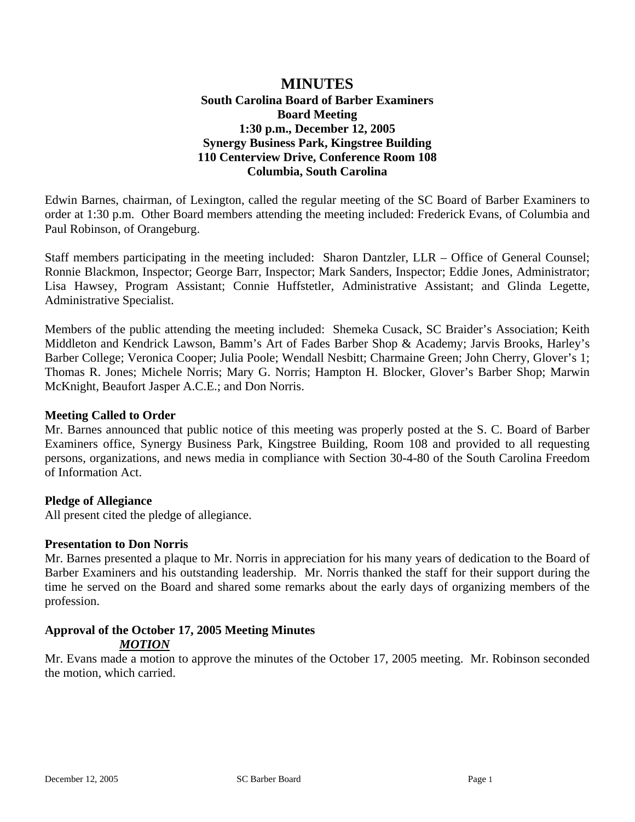# **MINUTES South Carolina Board of Barber Examiners Board Meeting 1:30 p.m., December 12, 2005 Synergy Business Park, Kingstree Building 110 Centerview Drive, Conference Room 108 Columbia, South Carolina**

Edwin Barnes, chairman, of Lexington, called the regular meeting of the SC Board of Barber Examiners to order at 1:30 p.m. Other Board members attending the meeting included: Frederick Evans, of Columbia and Paul Robinson, of Orangeburg.

Staff members participating in the meeting included: Sharon Dantzler, LLR – Office of General Counsel; Ronnie Blackmon, Inspector; George Barr, Inspector; Mark Sanders, Inspector; Eddie Jones, Administrator; Lisa Hawsey, Program Assistant; Connie Huffstetler, Administrative Assistant; and Glinda Legette, Administrative Specialist.

Members of the public attending the meeting included: Shemeka Cusack, SC Braider's Association; Keith Middleton and Kendrick Lawson, Bamm's Art of Fades Barber Shop & Academy; Jarvis Brooks, Harley's Barber College; Veronica Cooper; Julia Poole; Wendall Nesbitt; Charmaine Green; John Cherry, Glover's 1; Thomas R. Jones; Michele Norris; Mary G. Norris; Hampton H. Blocker, Glover's Barber Shop; Marwin McKnight, Beaufort Jasper A.C.E.; and Don Norris.

#### **Meeting Called to Order**

Mr. Barnes announced that public notice of this meeting was properly posted at the S. C. Board of Barber Examiners office, Synergy Business Park, Kingstree Building, Room 108 and provided to all requesting persons, organizations, and news media in compliance with Section 30-4-80 of the South Carolina Freedom of Information Act.

#### **Pledge of Allegiance**

All present cited the pledge of allegiance.

# **Presentation to Don Norris**

Mr. Barnes presented a plaque to Mr. Norris in appreciation for his many years of dedication to the Board of Barber Examiners and his outstanding leadership. Mr. Norris thanked the staff for their support during the time he served on the Board and shared some remarks about the early days of organizing members of the profession.

# **Approval of the October 17, 2005 Meeting Minutes**

# *MOTION*

Mr. Evans made a motion to approve the minutes of the October 17, 2005 meeting. Mr. Robinson seconded the motion, which carried.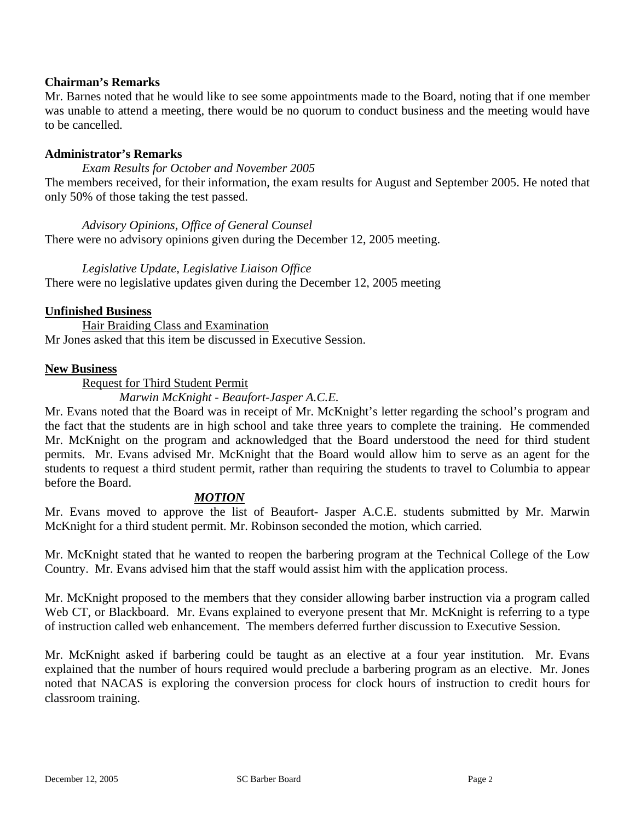# **Chairman's Remarks**

Mr. Barnes noted that he would like to see some appointments made to the Board, noting that if one member was unable to attend a meeting, there would be no quorum to conduct business and the meeting would have to be cancelled.

# **Administrator's Remarks**

#### *Exam Results for October and November 2005*

The members received, for their information, the exam results for August and September 2005. He noted that only 50% of those taking the test passed.

*Advisory Opinions, Office of General Counsel*  There were no advisory opinions given during the December 12, 2005 meeting.

#### *Legislative Update, Legislative Liaison Office*

There were no legislative updates given during the December 12, 2005 meeting

#### **Unfinished Business**

 Hair Braiding Class and Examination Mr Jones asked that this item be discussed in Executive Session.

#### **New Business**

Request for Third Student Permit

#### *Marwin McKnight - Beaufort-Jasper A.C.E.*

Mr. Evans noted that the Board was in receipt of Mr. McKnight's letter regarding the school's program and the fact that the students are in high school and take three years to complete the training. He commended Mr. McKnight on the program and acknowledged that the Board understood the need for third student permits. Mr. Evans advised Mr. McKnight that the Board would allow him to serve as an agent for the students to request a third student permit, rather than requiring the students to travel to Columbia to appear before the Board.

#### *MOTION*

Mr. Evans moved to approve the list of Beaufort- Jasper A.C.E. students submitted by Mr. Marwin McKnight for a third student permit. Mr. Robinson seconded the motion, which carried.

Mr. McKnight stated that he wanted to reopen the barbering program at the Technical College of the Low Country. Mr. Evans advised him that the staff would assist him with the application process.

Mr. McKnight proposed to the members that they consider allowing barber instruction via a program called Web CT, or Blackboard. Mr. Evans explained to everyone present that Mr. McKnight is referring to a type of instruction called web enhancement. The members deferred further discussion to Executive Session.

Mr. McKnight asked if barbering could be taught as an elective at a four year institution. Mr. Evans explained that the number of hours required would preclude a barbering program as an elective. Mr. Jones noted that NACAS is exploring the conversion process for clock hours of instruction to credit hours for classroom training.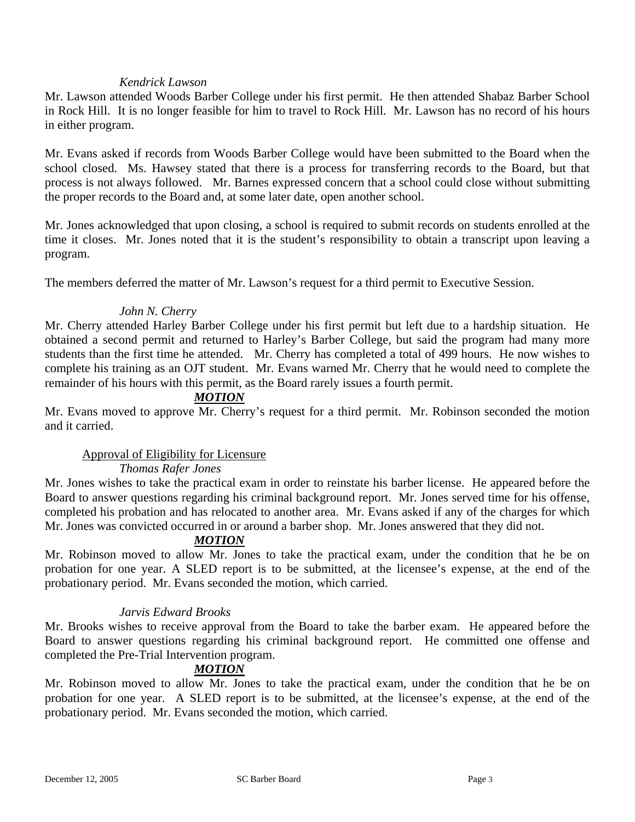# *Kendrick Lawson*

Mr. Lawson attended Woods Barber College under his first permit. He then attended Shabaz Barber School in Rock Hill. It is no longer feasible for him to travel to Rock Hill. Mr. Lawson has no record of his hours in either program.

Mr. Evans asked if records from Woods Barber College would have been submitted to the Board when the school closed. Ms. Hawsey stated that there is a process for transferring records to the Board, but that process is not always followed. Mr. Barnes expressed concern that a school could close without submitting the proper records to the Board and, at some later date, open another school.

Mr. Jones acknowledged that upon closing, a school is required to submit records on students enrolled at the time it closes. Mr. Jones noted that it is the student's responsibility to obtain a transcript upon leaving a program.

The members deferred the matter of Mr. Lawson's request for a third permit to Executive Session.

# *John N. Cherry*

Mr. Cherry attended Harley Barber College under his first permit but left due to a hardship situation. He obtained a second permit and returned to Harley's Barber College, but said the program had many more students than the first time he attended. Mr. Cherry has completed a total of 499 hours. He now wishes to complete his training as an OJT student. Mr. Evans warned Mr. Cherry that he would need to complete the remainder of his hours with this permit, as the Board rarely issues a fourth permit.

# *MOTION*

Mr. Evans moved to approve Mr. Cherry's request for a third permit. Mr. Robinson seconded the motion and it carried.

# Approval of Eligibility for Licensure

# *Thomas Rafer Jones*

Mr. Jones wishes to take the practical exam in order to reinstate his barber license. He appeared before the Board to answer questions regarding his criminal background report. Mr. Jones served time for his offense, completed his probation and has relocated to another area. Mr. Evans asked if any of the charges for which Mr. Jones was convicted occurred in or around a barber shop. Mr. Jones answered that they did not.

# *MOTION*

Mr. Robinson moved to allow Mr. Jones to take the practical exam, under the condition that he be on probation for one year. A SLED report is to be submitted, at the licensee's expense, at the end of the probationary period. Mr. Evans seconded the motion, which carried.

# *Jarvis Edward Brooks*

Mr. Brooks wishes to receive approval from the Board to take the barber exam. He appeared before the Board to answer questions regarding his criminal background report. He committed one offense and completed the Pre-Trial Intervention program.

# *MOTION*

Mr. Robinson moved to allow Mr. Jones to take the practical exam, under the condition that he be on probation for one year. A SLED report is to be submitted, at the licensee's expense, at the end of the probationary period. Mr. Evans seconded the motion, which carried.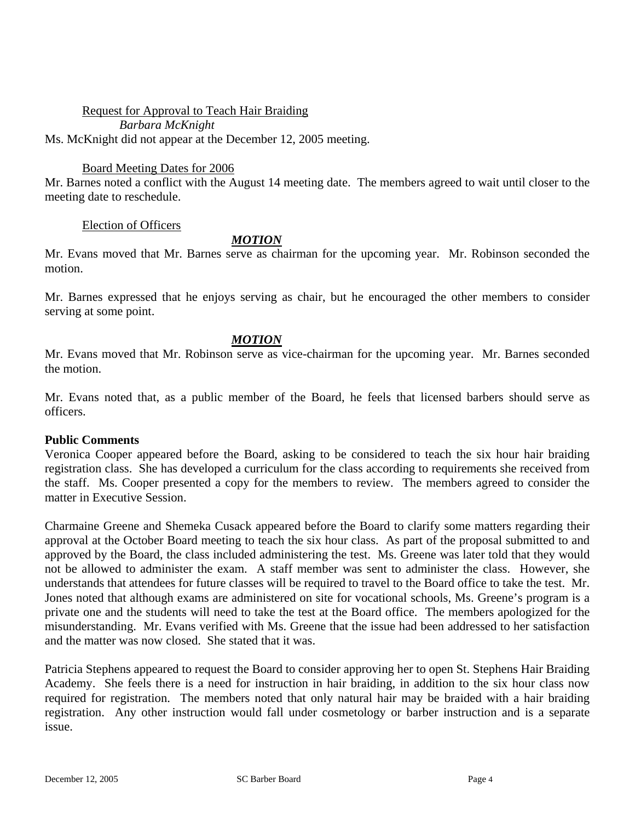Request for Approval to Teach Hair Braiding *Barbara McKnight*  Ms. McKnight did not appear at the December 12, 2005 meeting.

# Board Meeting Dates for 2006

Mr. Barnes noted a conflict with the August 14 meeting date. The members agreed to wait until closer to the meeting date to reschedule.

# Election of Officers

# *MOTION*

Mr. Evans moved that Mr. Barnes serve as chairman for the upcoming year. Mr. Robinson seconded the motion.

Mr. Barnes expressed that he enjoys serving as chair, but he encouraged the other members to consider serving at some point.

#### *MOTION*

Mr. Evans moved that Mr. Robinson serve as vice-chairman for the upcoming year. Mr. Barnes seconded the motion.

Mr. Evans noted that, as a public member of the Board, he feels that licensed barbers should serve as officers.

#### **Public Comments**

Veronica Cooper appeared before the Board, asking to be considered to teach the six hour hair braiding registration class. She has developed a curriculum for the class according to requirements she received from the staff. Ms. Cooper presented a copy for the members to review. The members agreed to consider the matter in Executive Session.

Charmaine Greene and Shemeka Cusack appeared before the Board to clarify some matters regarding their approval at the October Board meeting to teach the six hour class. As part of the proposal submitted to and approved by the Board, the class included administering the test. Ms. Greene was later told that they would not be allowed to administer the exam. A staff member was sent to administer the class. However, she understands that attendees for future classes will be required to travel to the Board office to take the test. Mr. Jones noted that although exams are administered on site for vocational schools, Ms. Greene's program is a private one and the students will need to take the test at the Board office. The members apologized for the misunderstanding. Mr. Evans verified with Ms. Greene that the issue had been addressed to her satisfaction and the matter was now closed. She stated that it was.

Patricia Stephens appeared to request the Board to consider approving her to open St. Stephens Hair Braiding Academy. She feels there is a need for instruction in hair braiding, in addition to the six hour class now required for registration. The members noted that only natural hair may be braided with a hair braiding registration. Any other instruction would fall under cosmetology or barber instruction and is a separate issue.